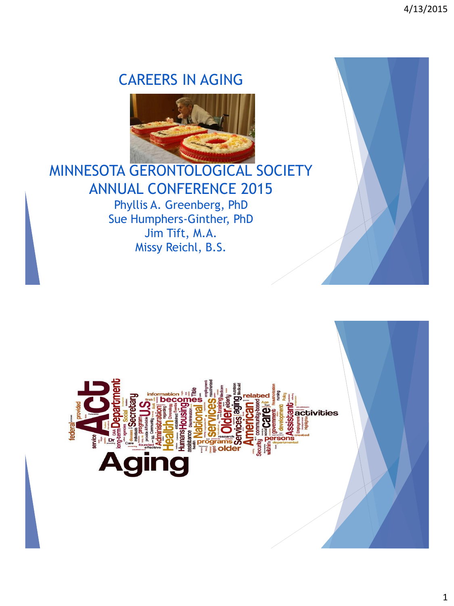# CAREERS IN AGING



# MINNESOTA GERONTOLOGICAL SOCIETY ANNUAL CONFERENCE 2015 Phyllis A. Greenberg, PhD Sue Humphers-Ginther, PhD Jim Tift, M.A.

Missy Reichl, B.S.

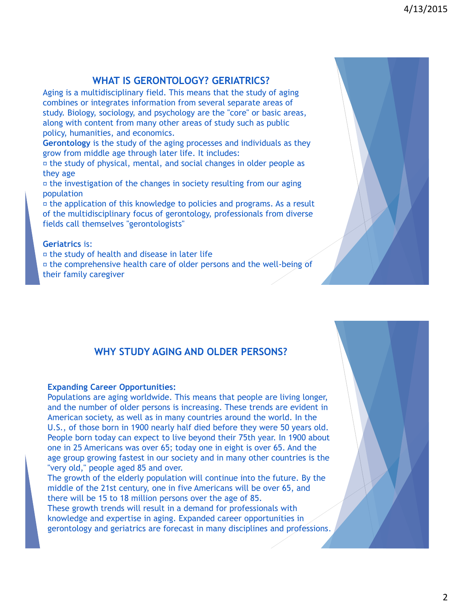# **WHAT IS GERONTOLOGY? GERIATRICS?**

Aging is a multidisciplinary field. This means that the study of aging combines or integrates information from several separate areas of study. Biology, sociology, and psychology are the "core" or basic areas, along with content from many other areas of study such as public policy, humanities, and economics.

**Gerontology** is the study of the aging processes and individuals as they grow from middle age through later life. It includes:

 $\Box$  the study of physical, mental, and social changes in older people as they age

 $\overline{p}$  the investigation of the changes in society resulting from our aging population

 $\Box$  the application of this knowledge to policies and programs. As a result of the multidisciplinary focus of gerontology, professionals from diverse fields call themselves "gerontologists"

#### **Geriatrics** is:

 $\overline{p}$  the study of health and disease in later life

 $\Box$  the comprehensive health care of older persons and the well-being of their family caregiver



#### **Expanding Career Opportunities:**

Populations are aging worldwide. This means that people are living longer, and the number of older persons is increasing. These trends are evident in American society, as well as in many countries around the world. In the U.S., of those born in 1900 nearly half died before they were 50 years old. People born today can expect to live beyond their 75th year. In 1900 about one in 25 Americans was over 65; today one in eight is over 65. And the age group growing fastest in our society and in many other countries is the "very old," people aged 85 and over.

The growth of the elderly population will continue into the future. By the middle of the 21st century, one in five Americans will be over 65, and there will be 15 to 18 million persons over the age of 85.

These growth trends will result in a demand for professionals with knowledge and expertise in aging. Expanded career opportunities in gerontology and geriatrics are forecast in many disciplines and professions.



2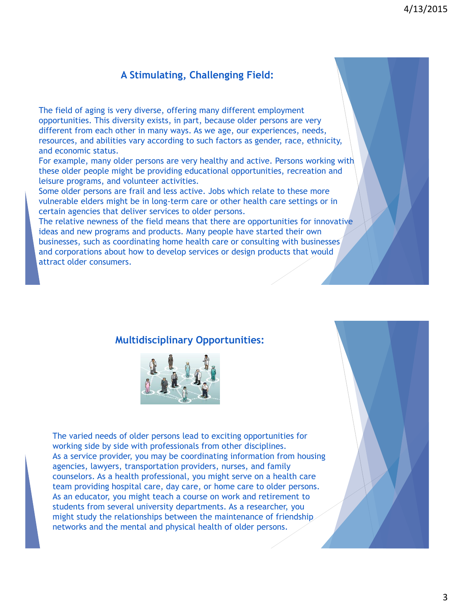# **A Stimulating, Challenging Field:**

The field of aging is very diverse, offering many different employment opportunities. This diversity exists, in part, because older persons are very different from each other in many ways. As we age, our experiences, needs, resources, and abilities vary according to such factors as gender, race, ethnicity, and economic status.

For example, many older persons are very healthy and active. Persons working with these older people might be providing educational opportunities, recreation and leisure programs, and volunteer activities.

Some older persons are frail and less active. Jobs which relate to these more vulnerable elders might be in long-term care or other health care settings or in certain agencies that deliver services to older persons.

The relative newness of the field means that there are opportunities for innovative ideas and new programs and products. Many people have started their own businesses, such as coordinating home health care or consulting with businesses and corporations about how to develop services or design products that would attract older consumers.

# **Multidisciplinary Opportunities:**



The varied needs of older persons lead to exciting opportunities for working side by side with professionals from other disciplines. As a service provider, you may be coordinating information from housing agencies, lawyers, transportation providers, nurses, and family counselors. As a health professional, you might serve on a health care team providing hospital care, day care, or home care to older persons. As an educator, you might teach a course on work and retirement to students from several university departments. As a researcher, you might study the relationships between the maintenance of friendship networks and the mental and physical health of older persons.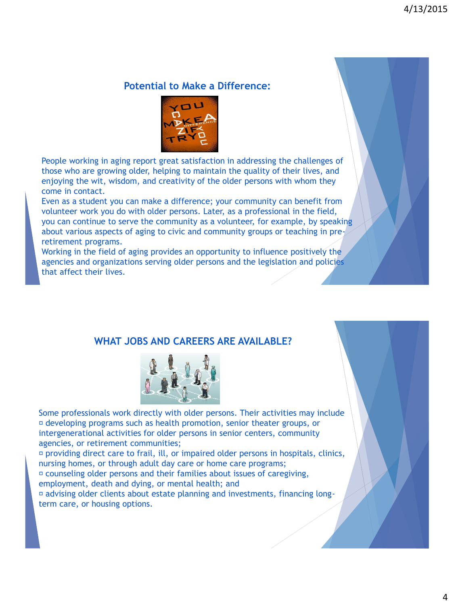# **Potential to Make a Difference:**



People working in aging report great satisfaction in addressing the challenges of those who are growing older, helping to maintain the quality of their lives, and enjoying the wit, wisdom, and creativity of the older persons with whom they come in contact.

Even as a student you can make a difference; your community can benefit from volunteer work you do with older persons. Later, as a professional in the field, you can continue to serve the community as a volunteer, for example, by speaking about various aspects of aging to civic and community groups or teaching in preretirement programs.

Working in the field of aging provides an opportunity to influence positively the agencies and organizations serving older persons and the legislation and policies that affect their lives.

### **WHAT JOBS AND CAREERS ARE AVAILABLE?**



Some professionals work directly with older persons. Their activities may include developing programs such as health promotion, senior theater groups, or intergenerational activities for older persons in senior centers, community agencies, or retirement communities;

providing direct care to frail, ill, or impaired older persons in hospitals, clinics, nursing homes, or through adult day care or home care programs;

counseling older persons and their families about issues of caregiving,

employment, death and dying, or mental health; and

advising older clients about estate planning and investments, financing longterm care, or housing options.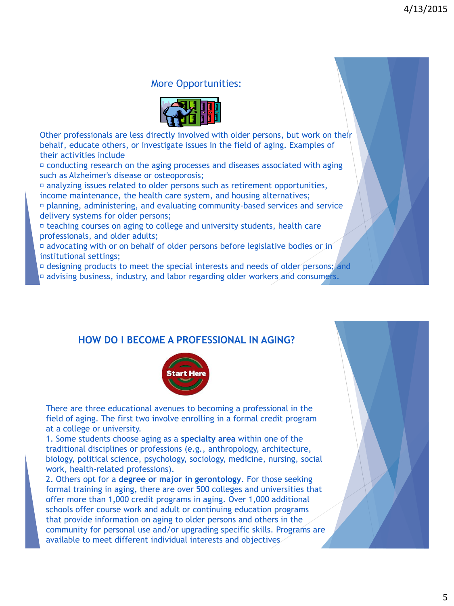### More Opportunities:



Other professionals are less directly involved with older persons, but work on their behalf, educate others, or investigate issues in the field of aging. Examples of their activities include

conducting research on the aging processes and diseases associated with aging such as Alzheimer's disease or osteoporosis;

 $\Box$  analyzing issues related to older persons such as retirement opportunities, income maintenance, the health care system, and housing alternatives;

 $\Box$  planning, administering, and evaluating community-based services and service delivery systems for older persons;

teaching courses on aging to college and university students, health care professionals, and older adults;

advocating with or on behalf of older persons before legislative bodies or in institutional settings;

 $\overline{p}$  designing products to meet the special interests and needs of older persons; and

advising business, industry, and labor regarding older workers and consumers.

# **HOW DO I BECOME A PROFESSIONAL IN AGING?**



There are three educational avenues to becoming a professional in the field of aging. The first two involve enrolling in a formal credit program at a college or university.

1. Some students choose aging as a **specialty area** within one of the traditional disciplines or professions (e.g., anthropology, architecture, biology, political science, psychology, sociology, medicine, nursing, social work, health-related professions).

2. Others opt for a **degree or major in gerontology**. For those seeking formal training in aging, there are over 500 colleges and universities that offer more than 1,000 credit programs in aging. Over 1,000 additional schools offer course work and adult or continuing education programs that provide information on aging to older persons and others in the community for personal use and/or upgrading specific skills. Programs are available to meet different individual interests and objectives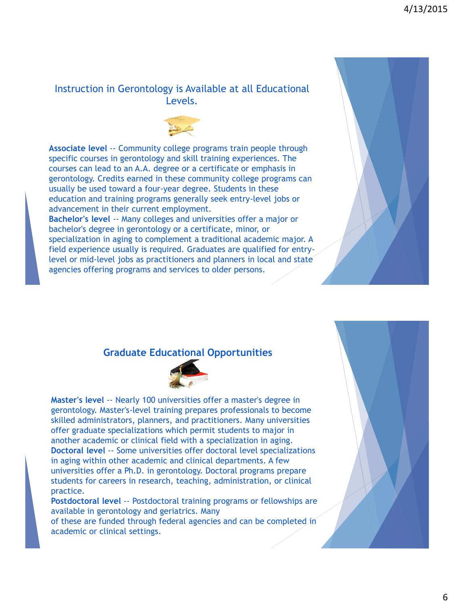#### Instruction in Gerontology is Available at all Educational Levels.



**Associate level** -- Community college programs train people through specific courses in gerontology and skill training experiences. The courses can lead to an A.A. degree or a certificate or emphasis in gerontology. Credits earned in these community college programs can usually be used toward a four-year degree. Students in these education and training programs generally seek entry-level jobs or advancement in their current employment.

**Bachelor's level** -- Many colleges and universities offer a major or bachelor's degree in gerontology or a certificate, minor, or specialization in aging to complement a traditional academic major. A field experience usually is required. Graduates are qualified for entrylevel or mid-level jobs as practitioners and planners in local and state agencies offering programs and services to older persons.



#### **Graduate Educational Opportunities**



**Master's level** -- Nearly 100 universities offer a master's degree in gerontology. Master's-level training prepares professionals to become skilled administrators, planners, and practitioners. Many universities offer graduate specializations which permit students to major in another academic or clinical field with a specialization in aging. **Doctoral level** -- Some universities offer doctoral level specializations in aging within other academic and clinical departments. A few universities offer a Ph.D. in gerontology. Doctoral programs prepare students for careers in research, teaching, administration, or clinical practice.

**Postdoctoral level** -- Postdoctoral training programs or fellowships are available in gerontology and geriatrics. Many

of these are funded through federal agencies and can be completed in academic or clinical settings.